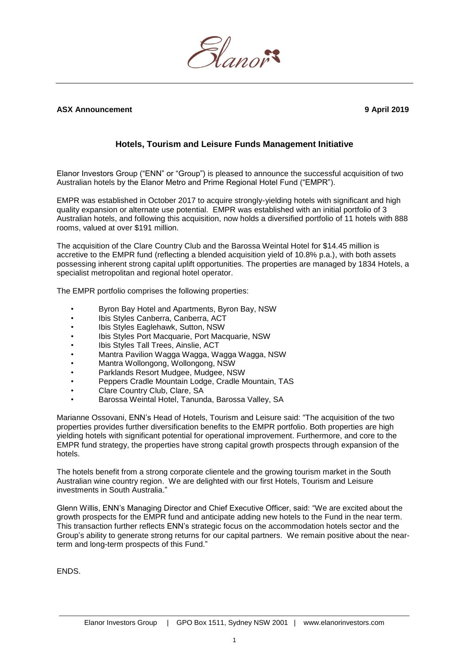

## **ASX Announcement 9 April 2019**

## **Hotels, Tourism and Leisure Funds Management Initiative**

Elanor Investors Group ("ENN" or "Group") is pleased to announce the successful acquisition of two Australian hotels by the Elanor Metro and Prime Regional Hotel Fund ("EMPR").

EMPR was established in October 2017 to acquire strongly-yielding hotels with significant and high quality expansion or alternate use potential. EMPR was established with an initial portfolio of 3 Australian hotels, and following this acquisition, now holds a diversified portfolio of 11 hotels with 888 rooms, valued at over \$191 million.

The acquisition of the Clare Country Club and the Barossa Weintal Hotel for \$14.45 million is accretive to the EMPR fund (reflecting a blended acquisition yield of 10.8% p.a.), with both assets possessing inherent strong capital uplift opportunities. The properties are managed by 1834 Hotels, a specialist metropolitan and regional hotel operator.

The EMPR portfolio comprises the following properties:

- Byron Bay Hotel and Apartments, Byron Bay, NSW
- Ibis Styles Canberra, Canberra, ACT
- Ibis Styles Eaglehawk, Sutton, NSW
- Ibis Styles Port Macquarie, Port Macquarie, NSW
- Ibis Styles Tall Trees, Ainslie, ACT
- Mantra Pavilion Wagga Wagga, Wagga Wagga, NSW
- Mantra Wollongong, Wollongong, NSW
- Parklands Resort Mudgee, Mudgee, NSW
- Peppers Cradle Mountain Lodge, Cradle Mountain, TAS
- Clare Country Club, Clare, SA
- Barossa Weintal Hotel, Tanunda, Barossa Valley, SA

Marianne Ossovani, ENN's Head of Hotels, Tourism and Leisure said: "The acquisition of the two properties provides further diversification benefits to the EMPR portfolio. Both properties are high yielding hotels with significant potential for operational improvement. Furthermore, and core to the EMPR fund strategy, the properties have strong capital growth prospects through expansion of the hotels.

The hotels benefit from a strong corporate clientele and the growing tourism market in the South Australian wine country region. We are delighted with our first Hotels, Tourism and Leisure investments in South Australia.'

Glenn Willis, ENN's Managing Director and Chief Executive Officer, said: "We are excited about the growth prospects for the EMPR fund and anticipate adding new hotels to the Fund in the near term. This transaction further reflects ENN's strategic focus on the accommodation hotels sector and the Group's ability to generate strong returns for our capital partners. We remain positive about the nearterm and long-term prospects of this Fund."

ENDS.